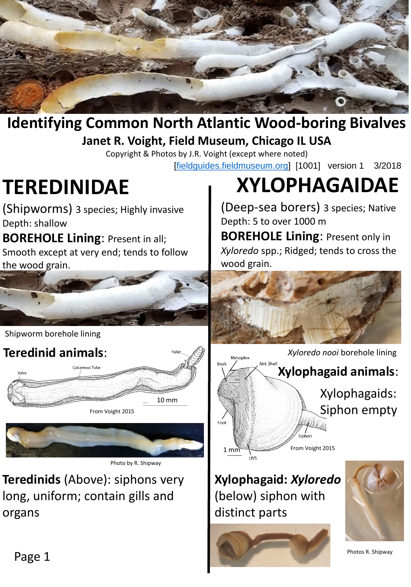

## **Identifying Common North Atlantic Wood-boring Bivalves Janet R. Voight, Field Museum, Chicago IL USA**

Copyright & Photos by J.R. Voight (except where noted) [\[fieldguides.fieldmuseum.org\]](http://fieldguides.fieldmuseum.org/) [1001] version 1 3/2018

**TEREDINIDAE**

Shipworm borehole lining

(Shipworms) 3 species; Highly invasive Depth: shallow

**BOREHOLE Lining**: Present in all; Smooth except at very end; tends to follow the wood grain.

# **XYLOPHAGAIDAE**

(Deep-sea borers) 3 species; Native Depth: 5 to over 1000 m

**BOREHOLE Lining**: Present only in *Xyloredo* spp.; Ridged; tends to cross the wood grain.







Photo by R. Shipway

**Teredinids** (Above): siphons very long, uniform; contain gills and organs



*Xyloredo nooi* borehole lining

**Xylophagaid animals**:

Xylophagaids: Siphon empty

From Voight 2015

...<br>Sinhon

**Xylophagaid:** *Xyloredo* (below) siphon with distinct parts





Photos R. Shipway